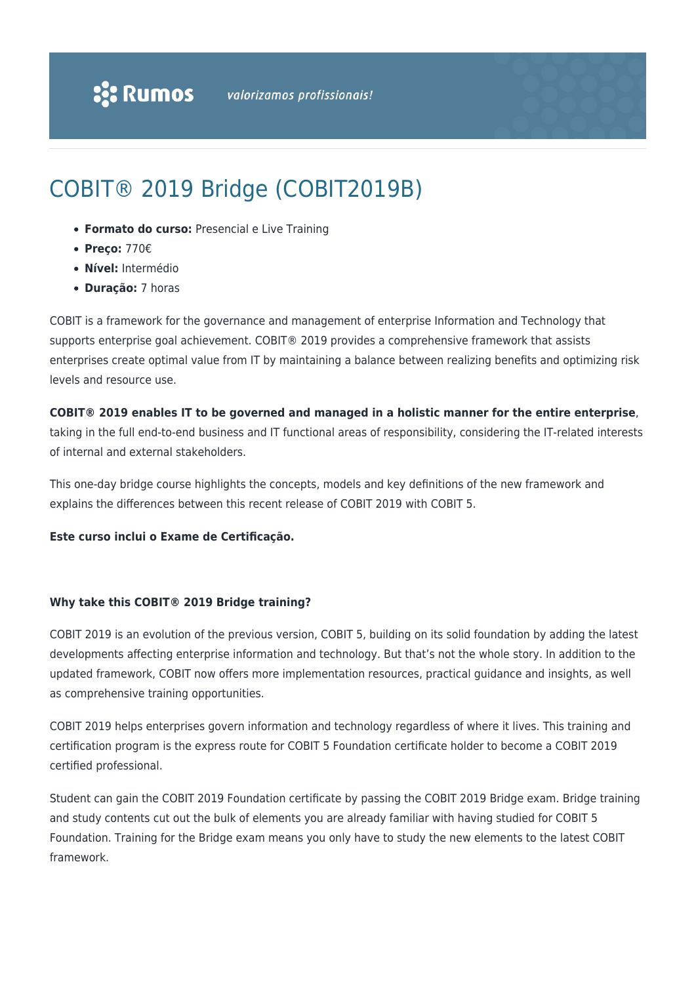# COBIT® 2019 Bridge (COBIT2019B)

- **Formato do curso:** Presencial e Live Training
- **Preço:** 770€
- **Nível:** Intermédio
- **Duração:** 7 horas

COBIT is a framework for the governance and management of enterprise Information and Technology that supports enterprise goal achievement. COBIT® 2019 provides a comprehensive framework that assists enterprises create optimal value from IT by maintaining a balance between realizing benefits and optimizing risk levels and resource use.

#### **COBIT® 2019 enables IT to be governed and managed in a holistic manner for the entire enterprise**,

taking in the full end-to-end business and IT functional areas of responsibility, considering the IT-related interests of internal and external stakeholders.

This one-day bridge course highlights the concepts, models and key definitions of the new framework and explains the differences between this recent release of COBIT 2019 with COBIT 5.

#### **Este curso inclui o Exame de Certificação.**

#### **Why take this COBIT® 2019 Bridge training?**

COBIT 2019 is an evolution of the previous version, COBIT 5, building on its solid foundation by adding the latest developments affecting enterprise information and technology. But that's not the whole story. In addition to the updated framework, COBIT now offers more implementation resources, practical guidance and insights, as well as comprehensive training opportunities.

COBIT 2019 helps enterprises govern information and technology regardless of where it lives. This training and certification program is the express route for COBIT 5 Foundation certificate holder to become a COBIT 2019 certified professional.

Student can gain the COBIT 2019 Foundation certificate by passing the COBIT 2019 Bridge exam. Bridge training and study contents cut out the bulk of elements you are already familiar with having studied for COBIT 5 Foundation. Training for the Bridge exam means you only have to study the new elements to the latest COBIT framework.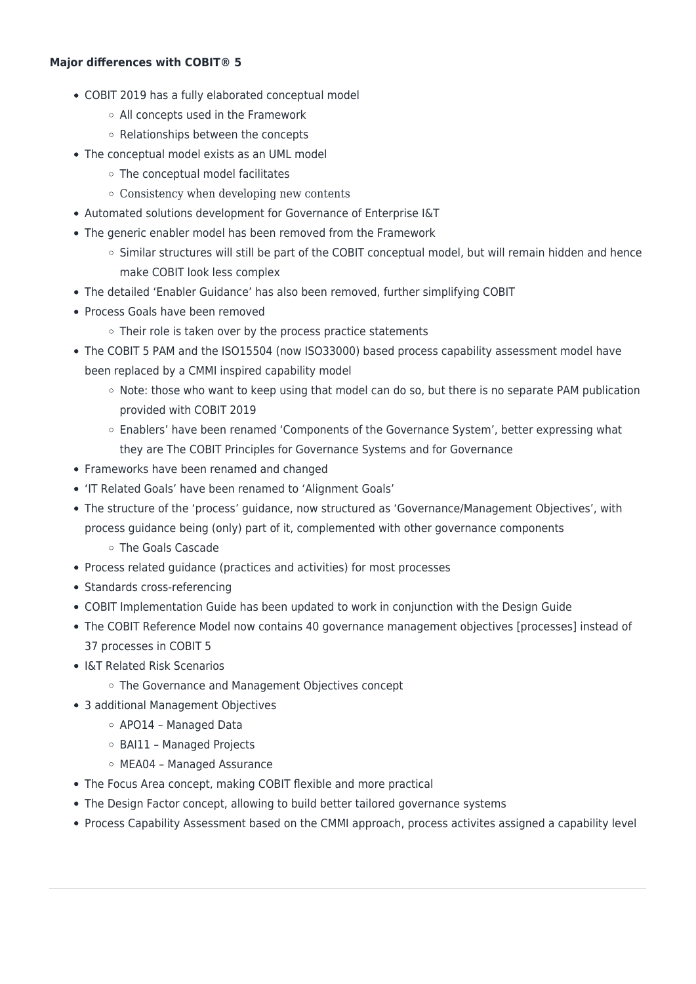#### **Major differences with COBIT® 5**

- COBIT 2019 has a fully elaborated conceptual model
	- All concepts used in the Framework
	- Relationships between the concepts
- The conceptual model exists as an UML model
	- The conceptual model facilitates
	- Consistency when developing new contents
- Automated solutions development for Governance of Enterprise I&T
- The generic enabler model has been removed from the Framework
	- $\circ$  Similar structures will still be part of the COBIT conceptual model, but will remain hidden and hence make COBIT look less complex
- The detailed 'Enabler Guidance' has also been removed, further simplifying COBIT
- Process Goals have been removed
	- $\circ$  Their role is taken over by the process practice statements
- The COBIT 5 PAM and the ISO15504 (now ISO33000) based process capability assessment model have been replaced by a CMMI inspired capability model
	- Note: those who want to keep using that model can do so, but there is no separate PAM publication provided with COBIT 2019
	- Enablers' have been renamed 'Components of the Governance System', better expressing what they are The COBIT Principles for Governance Systems and for Governance
- Frameworks have been renamed and changed
- 'IT Related Goals' have been renamed to 'Alignment Goals'
- The structure of the 'process' guidance, now structured as 'Governance/Management Objectives', with process guidance being (only) part of it, complemented with other governance components
	- The Goals Cascade
- Process related guidance (practices and activities) for most processes
- Standards cross-referencing
- COBIT Implementation Guide has been updated to work in conjunction with the Design Guide
- The COBIT Reference Model now contains 40 governance management objectives [processes] instead of 37 processes in COBIT 5
- I&T Related Risk Scenarios
	- The Governance and Management Objectives concept
- 3 additional Management Objectives
	- APO14 Managed Data
	- BAI11 Managed Projects
	- MEA04 Managed Assurance
- The Focus Area concept, making COBIT flexible and more practical
- The Design Factor concept, allowing to build better tailored governance systems
- Process Capability Assessment based on the CMMI approach, process activites assigned a capability level